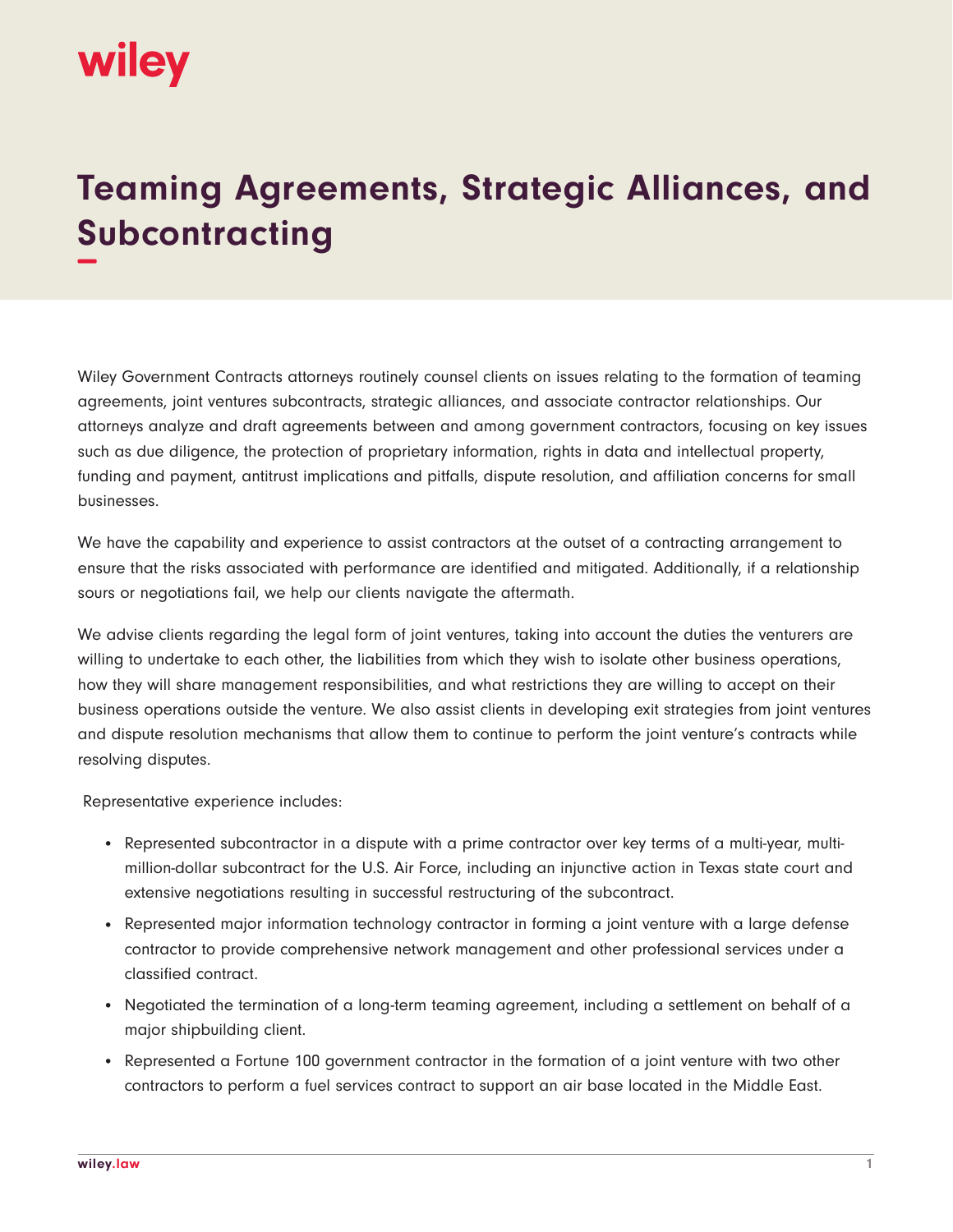

## **Teaming Agreements, Strategic Alliances, and Subcontracting −**

Wiley Government Contracts attorneys routinely counsel clients on issues relating to the formation of teaming agreements, joint ventures subcontracts, strategic alliances, and associate contractor relationships. Our attorneys analyze and draft agreements between and among government contractors, focusing on key issues such as due diligence, the protection of proprietary information, rights in data and intellectual property, funding and payment, antitrust implications and pitfalls, dispute resolution, and affiliation concerns for small businesses.

We have the capability and experience to assist contractors at the outset of a contracting arrangement to ensure that the risks associated with performance are identified and mitigated. Additionally, if a relationship sours or negotiations fail, we help our clients navigate the aftermath.

We advise clients regarding the legal form of joint ventures, taking into account the duties the venturers are willing to undertake to each other, the liabilities from which they wish to isolate other business operations, how they will share management responsibilities, and what restrictions they are willing to accept on their business operations outside the venture. We also assist clients in developing exit strategies from joint ventures and dispute resolution mechanisms that allow them to continue to perform the joint venture's contracts while resolving disputes.

Representative experience includes:

- Represented subcontractor in a dispute with a prime contractor over key terms of a multi-year, multimillion-dollar subcontract for the U.S. Air Force, including an injunctive action in Texas state court and extensive negotiations resulting in successful restructuring of the subcontract.
- Represented major information technology contractor in forming a joint venture with a large defense contractor to provide comprehensive network management and other professional services under a classified contract.
- Negotiated the termination of a long-term teaming agreement, including a settlement on behalf of a major shipbuilding client.
- Represented a Fortune 100 government contractor in the formation of a joint venture with two other contractors to perform a fuel services contract to support an air base located in the Middle East.